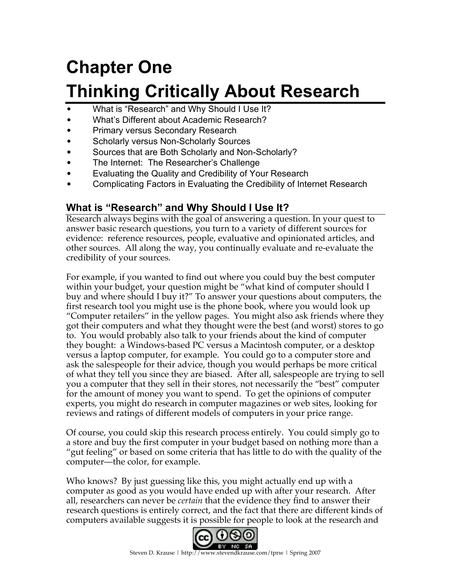# **Chapter One Thinking Critically About Research**

- What is "Research" and Why Should I Use It?
- What's Different about Academic Research?
- Primary versus Secondary Research
- Scholarly versus Non-Scholarly Sources
- Sources that are Both Scholarly and Non-Scholarly?
- The Internet: The Researcher's Challenge
- Evaluating the Quality and Credibility of Your Research
- Complicating Factors in Evaluating the Credibility of Internet Research

# **What is "Research" and Why Should I Use It?**

Research always begins with the goal of answering a question. In your quest to answer basic research questions, you turn to a variety of different sources for evidence: reference resources, people, evaluative and opinionated articles, and other sources. All along the way, you continually evaluate and re-evaluate the credibility of your sources.

For example, if you wanted to find out where you could buy the best computer within your budget, your question might be "what kind of computer should I buy and where should I buy it?" To answer your questions about computers, the first research tool you might use is the phone book, where you would look up "Computer retailers" in the yellow pages. You might also ask friends where they got their computers and what they thought were the best (and worst) stores to go to. You would probably also talk to your friends about the kind of computer they bought: a Windows-based PC versus a Macintosh computer, or a desktop versus a laptop computer, for example. You could go to a computer store and ask the salespeople for their advice, though you would perhaps be more critical of what they tell you since they are biased. After all, salespeople are trying to sell you a computer that they sell in their stores, not necessarily the "best" computer for the amount of money you want to spend. To get the opinions of computer experts, you might do research in computer magazines or web sites, looking for reviews and ratings of different models of computers in your price range.

Of course, you could skip this research process entirely. You could simply go to a store and buy the first computer in your budget based on nothing more than a "gut feeling" or based on some criteria that has little to do with the quality of the computer—the color, for example.

Who knows? By just guessing like this, you might actually end up with a computer as good as you would have ended up with after your research. After all, researchers can never be *certain* that the evidence they find to answer their research questions is entirely correct, and the fact that there are different kinds of computers available suggests it is possible for people to look at the research and

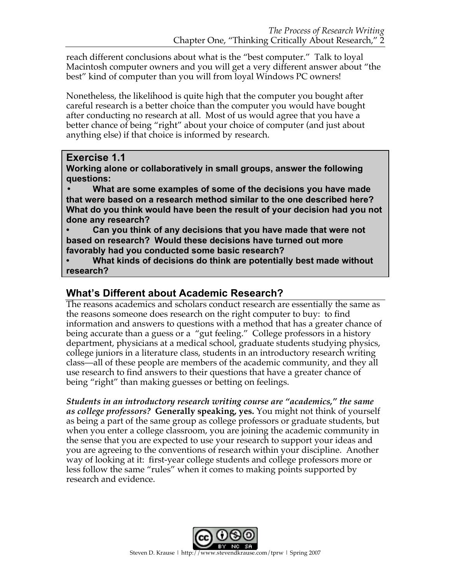reach different conclusions about what is the "best computer." Talk to loyal Macintosh computer owners and you will get a very different answer about "the best" kind of computer than you will from loyal Windows PC owners!

Nonetheless, the likelihood is quite high that the computer you bought after careful research is a better choice than the computer you would have bought after conducting no research at all. Most of us would agree that you have a better chance of being "right" about your choice of computer (and just about anything else) if that choice is informed by research.

### **Exercise 1.1**

**Working alone or collaboratively in small groups, answer the following questions:**

**• What are some examples of some of the decisions you have made that were based on a research method similar to the one described here? What do you think would have been the result of your decision had you not done any research?**

**• Can you think of any decisions that you have made that were not based on research? Would these decisions have turned out more favorably had you conducted some basic research?**

**• What kinds of decisions do think are potentially best made without research?**

# **What's Different about Academic Research?**

The reasons academics and scholars conduct research are essentially the same as the reasons someone does research on the right computer to buy: to find information and answers to questions with a method that has a greater chance of being accurate than a guess or a "gut feeling." College professors in a history department, physicians at a medical school, graduate students studying physics, college juniors in a literature class, students in an introductory research writing class—all of these people are members of the academic community, and they all use research to find answers to their questions that have a greater chance of being "right" than making guesses or betting on feelings.

*Students in an introductory research writing course are "academics," the same as college professors?* **Generally speaking, yes.** You might not think of yourself as being a part of the same group as college professors or graduate students, but when you enter a college classroom, you are joining the academic community in the sense that you are expected to use your research to support your ideas and you are agreeing to the conventions of research within your discipline. Another way of looking at it: first-year college students and college professors more or less follow the same "rules" when it comes to making points supported by research and evidence.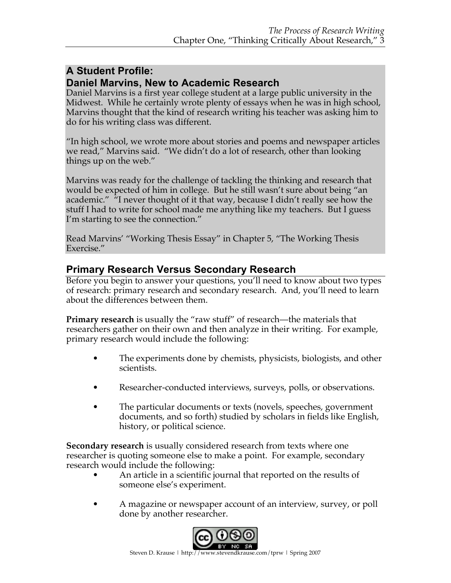## **A Student Profile: Daniel Marvins, New to Academic Research**

Daniel Marvins is a first year college student at a large public university in the Midwest. While he certainly wrote plenty of essays when he was in high school, Marvins thought that the kind of research writing his teacher was asking him to do for his writing class was different.

"In high school, we wrote more about stories and poems and newspaper articles we read," Marvins said. "We didn't do a lot of research, other than looking things up on the web."

Marvins was ready for the challenge of tackling the thinking and research that would be expected of him in college. But he still wasn't sure about being "an academic." <sup>"</sup>I never thought of it that way, because I didn't really see how the stuff I had to write for school made me anything like my teachers. But I guess I'm starting to see the connection."

Read Marvins' "Working Thesis Essay" in Chapter 5, "The Working Thesis Exercise."

# **Primary Research Versus Secondary Research**

Before you begin to answer your questions, you'll need to know about two types of research: primary research and secondary research. And, you'll need to learn about the differences between them.

**Primary research** is usually the "raw stuff" of research—the materials that researchers gather on their own and then analyze in their writing. For example, primary research would include the following:

- The experiments done by chemists, physicists, biologists, and other scientists.
- Researcher-conducted interviews, surveys, polls, or observations.
- The particular documents or texts (novels, speeches, government documents, and so forth) studied by scholars in fields like English, history, or political science.

**Secondary research** is usually considered research from texts where one researcher is quoting someone else to make a point. For example, secondary research would include the following:

- An article in a scientific journal that reported on the results of someone else's experiment.
- A magazine or newspaper account of an interview, survey, or poll done by another researcher.

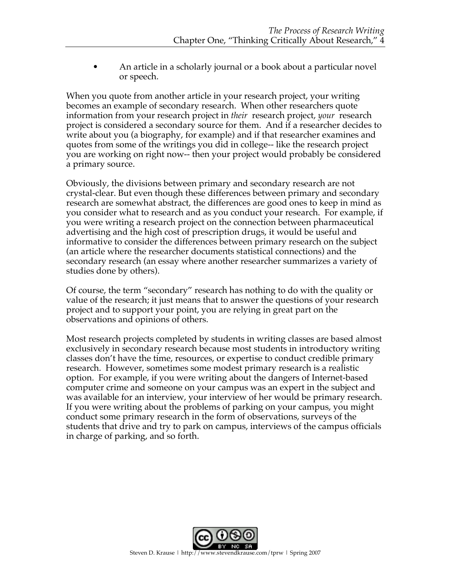• An article in a scholarly journal or a book about a particular novel or speech.

When you quote from another article in your research project, your writing becomes an example of secondary research. When other researchers quote information from your research project in *their* research project, *your* research project is considered a secondary source for them. And if a researcher decides to write about you (a biography, for example) and if that researcher examines and quotes from some of the writings you did in college-- like the research project you are working on right now-- then your project would probably be considered a primary source.

Obviously, the divisions between primary and secondary research are not crystal-clear. But even though these differences between primary and secondary research are somewhat abstract, the differences are good ones to keep in mind as you consider what to research and as you conduct your research. For example, if you were writing a research project on the connection between pharmaceutical advertising and the high cost of prescription drugs, it would be useful and informative to consider the differences between primary research on the subject (an article where the researcher documents statistical connections) and the secondary research (an essay where another researcher summarizes a variety of studies done by others).

Of course, the term "secondary" research has nothing to do with the quality or value of the research; it just means that to answer the questions of your research project and to support your point, you are relying in great part on the observations and opinions of others.

Most research projects completed by students in writing classes are based almost exclusively in secondary research because most students in introductory writing classes don't have the time, resources, or expertise to conduct credible primary research. However, sometimes some modest primary research is a realistic option. For example, if you were writing about the dangers of Internet-based computer crime and someone on your campus was an expert in the subject and was available for an interview, your interview of her would be primary research. If you were writing about the problems of parking on your campus, you might conduct some primary research in the form of observations, surveys of the students that drive and try to park on campus, interviews of the campus officials in charge of parking, and so forth.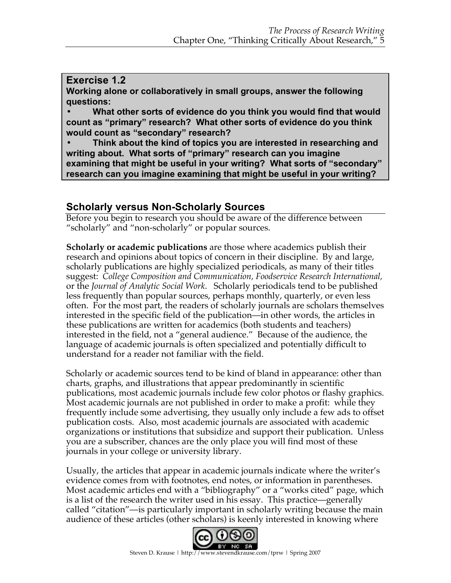## **Exercise 1.2**

**Working alone or collaboratively in small groups, answer the following questions:**

**• What other sorts of evidence do you think you would find that would count as "primary" research? What other sorts of evidence do you think would count as "secondary" research?**

**• Think about the kind of topics you are interested in researching and writing about. What sorts of "primary" research can you imagine examining that might be useful in your writing? What sorts of "secondary" research can you imagine examining that might be useful in your writing?**

# **Scholarly versus Non-Scholarly Sources**

Before you begin to research you should be aware of the difference between "scholarly" and "non-scholarly" or popular sources.

**Scholarly or academic publications** are those where academics publish their research and opinions about topics of concern in their discipline. By and large, scholarly publications are highly specialized periodicals, as many of their titles suggest: *College Composition and Communication, Foodservice Research International,*  or the *Journal of Analytic Social Work*. Scholarly periodicals tend to be published less frequently than popular sources, perhaps monthly, quarterly, or even less often. For the most part, the readers of scholarly journals are scholars themselves interested in the specific field of the publication—in other words, the articles in these publications are written for academics (both students and teachers) interested in the field, not a "general audience." Because of the audience, the language of academic journals is often specialized and potentially difficult to understand for a reader not familiar with the field.

Scholarly or academic sources tend to be kind of bland in appearance: other than charts, graphs, and illustrations that appear predominantly in scientific publications, most academic journals include few color photos or flashy graphics. Most academic journals are not published in order to make a profit: while they frequently include some advertising, they usually only include a few ads to offset publication costs. Also, most academic journals are associated with academic organizations or institutions that subsidize and support their publication. Unless you are a subscriber, chances are the only place you will find most of these journals in your college or university library.

Usually, the articles that appear in academic journals indicate where the writer's evidence comes from with footnotes, end notes, or information in parentheses. Most academic articles end with a "bibliography" or a "works cited" page, which is a list of the research the writer used in his essay. This practice—generally called "citation"—is particularly important in scholarly writing because the main audience of these articles (other scholars) is keenly interested in knowing where

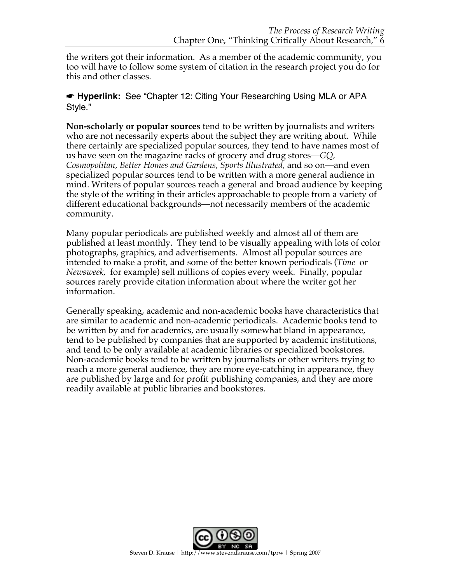the writers got their information. As a member of the academic community, you too will have to follow some system of citation in the research project you do for this and other classes.

#### ☛ **Hyperlink:** See "Chapter 12: Citing Your Researching Using MLA or APA Style."

**Non-scholarly or popular sources** tend to be written by journalists and writers who are not necessarily experts about the subject they are writing about. While there certainly are specialized popular sources, they tend to have names most of us have seen on the magazine racks of grocery and drug stores—*GQ, Cosmopolitan, Better Homes and Gardens, Sports Illustrated,* and so on—and even specialized popular sources tend to be written with a more general audience in mind. Writers of popular sources reach a general and broad audience by keeping the style of the writing in their articles approachable to people from a variety of different educational backgrounds—not necessarily members of the academic community.

Many popular periodicals are published weekly and almost all of them are published at least monthly. They tend to be visually appealing with lots of color photographs, graphics, and advertisements. Almost all popular sources are intended to make a profit, and some of the better known periodicals (*Time* or *Newsweek,* for example) sell millions of copies every week. Finally, popular sources rarely provide citation information about where the writer got her information.

Generally speaking, academic and non-academic books have characteristics that are similar to academic and non-academic periodicals. Academic books tend to be written by and for academics, are usually somewhat bland in appearance, tend to be published by companies that are supported by academic institutions, and tend to be only available at academic libraries or specialized bookstores. Non-academic books tend to be written by journalists or other writers trying to reach a more general audience, they are more eye-catching in appearance, they are published by large and for profit publishing companies, and they are more readily available at public libraries and bookstores.

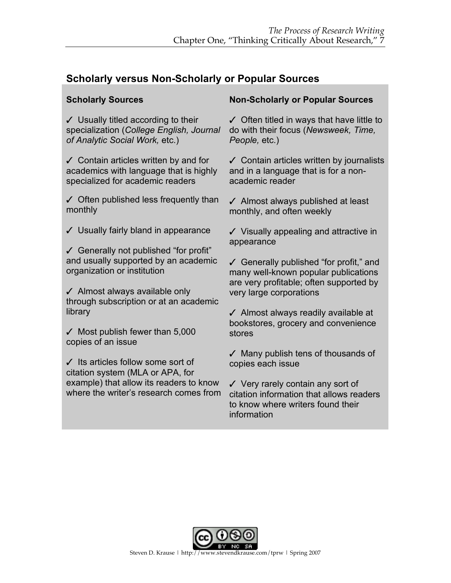# **Scholarly versus Non-Scholarly or Popular Sources**

## **Scholarly Sources**

✓ Usually titled according to their specialization (*College English, Journal of Analytic Social Work,* etc.)

✓ Contain articles written by and for academics with language that is highly specialized for academic readers

✓ Often published less frequently than monthly

✓ Usually fairly bland in appearance

✓ Generally not published "for profit" and usually supported by an academic organization or institution

✓ Almost always available only through subscription or at an academic library

 $\checkmark$  Most publish fewer than 5,000 copies of an issue

✓ Its articles follow some sort of citation system (MLA or APA, for example) that allow its readers to know where the writer's research comes from

### **Non-Scholarly or Popular Sources**

 $\checkmark$  Often titled in ways that have little to do with their focus (*Newsweek, Time, People,* etc.)

✓ Contain articles written by journalists and in a language that is for a nonacademic reader

✓ Almost always published at least monthly, and often weekly

✓ Visually appealing and attractive in appearance

✓ Generally published "for profit," and many well-known popular publications are very profitable; often supported by very large corporations

✓ Almost always readily available at bookstores, grocery and convenience stores

✓ Many publish tens of thousands of copies each issue

✓ Very rarely contain any sort of citation information that allows readers to know where writers found their information

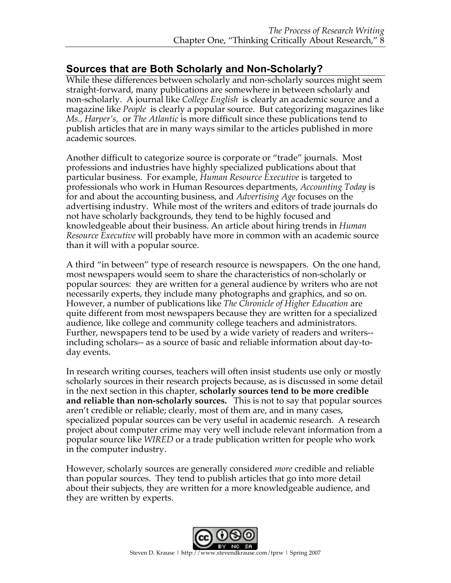# **Sources that are Both Scholarly and Non-Scholarly?**

While these differences between scholarly and non-scholarly sources might seem straight-forward, many publications are somewhere in between scholarly and non-scholarly. A journal like *College English* is clearly an academic source and a magazine like *People* is clearly a popular source. But categorizing magazines like *Ms., Harper's,* or *The Atlantic* is more difficult since these publications tend to publish articles that are in many ways similar to the articles published in more academic sources.

Another difficult to categorize source is corporate or "trade" journals. Most professions and industries have highly specialized publications about that particular business. For example, *Human Resource Executive* is targeted to professionals who work in Human Resources departments, *Accounting Today* is for and about the accounting business, and *Advertising Age* focuses on the advertising industry. While most of the writers and editors of trade journals do not have scholarly backgrounds, they tend to be highly focused and knowledgeable about their business. An article about hiring trends in *Human Resource Executive* will probably have more in common with an academic source than it will with a popular source.

A third "in between" type of research resource is newspapers. On the one hand, most newspapers would seem to share the characteristics of non-scholarly or popular sources: they are written for a general audience by writers who are not necessarily experts, they include many photographs and graphics, and so on. However, a number of publications like *The Chronicle of Higher Education* are quite different from most newspapers because they are written for a specialized audience, like college and community college teachers and administrators. Further, newspapers tend to be used by a wide variety of readers and writers- including scholars-- as a source of basic and reliable information about day-today events.

In research writing courses, teachers will often insist students use only or mostly scholarly sources in their research projects because, as is discussed in some detail in the next section in this chapter, **scholarly sources tend to be more credible and reliable than non-scholarly sources.** This is not to say that popular sources aren't credible or reliable; clearly, most of them are, and in many cases, specialized popular sources can be very useful in academic research. A research project about computer crime may very well include relevant information from a popular source like *WIRED* or a trade publication written for people who work in the computer industry.

However, scholarly sources are generally considered *more* credible and reliable than popular sources. They tend to publish articles that go into more detail about their subjects, they are written for a more knowledgeable audience, and they are written by experts.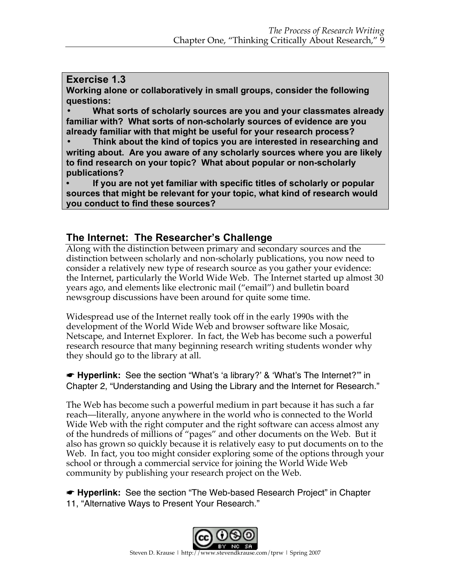#### **Exercise 1.3**

**Working alone or collaboratively in small groups, consider the following questions:**

**• What sorts of scholarly sources are you and your classmates already familiar with? What sorts of non-scholarly sources of evidence are you already familiar with that might be useful for your research process?**

**• Think about the kind of topics you are interested in researching and writing about. Are you aware of any scholarly sources where you are likely to find research on your topic? What about popular or non-scholarly publications?**

**• If you are not yet familiar with specific titles of scholarly or popular sources that might be relevant for your topic, what kind of research would you conduct to find these sources?**

# **The Internet: The Researcher's Challenge**

Along with the distinction between primary and secondary sources and the distinction between scholarly and non-scholarly publications, you now need to consider a relatively new type of research source as you gather your evidence: the Internet, particularly the World Wide Web. The Internet started up almost 30 years ago, and elements like electronic mail ("email") and bulletin board newsgroup discussions have been around for quite some time.

Widespread use of the Internet really took off in the early 1990s with the development of the World Wide Web and browser software like Mosaic, Netscape, and Internet Explorer. In fact, the Web has become such a powerful research resource that many beginning research writing students wonder why they should go to the library at all.

☛ **Hyperlink:** See the section "What's 'a library?' & 'What's The Internet?'" in Chapter 2, "Understanding and Using the Library and the Internet for Research."

The Web has become such a powerful medium in part because it has such a far reach—literally, anyone anywhere in the world who is connected to the World Wide Web with the right computer and the right software can access almost any of the hundreds of millions of "pages" and other documents on the Web. But it also has grown so quickly because it is relatively easy to put documents on to the Web. In fact, you too might consider exploring some of the options through your school or through a commercial service for joining the World Wide Web community by publishing your research project on the Web.

☛ **Hyperlink:** See the section "The Web-based Research Project" in Chapter 11, "Alternative Ways to Present Your Research."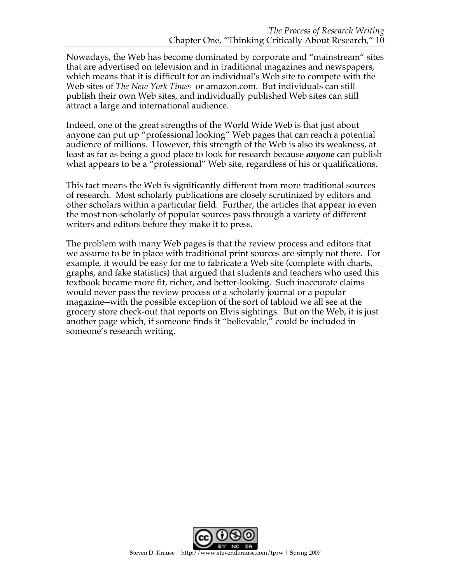Nowadays, the Web has become dominated by corporate and "mainstream" sites that are advertised on television and in traditional magazines and newspapers, which means that it is difficult for an individual's Web site to compete with the Web sites of *The New York Times* or amazon.com. But individuals can still publish their own Web sites, and individually published Web sites can still attract a large and international audience.

Indeed, one of the great strengths of the World Wide Web is that just about anyone can put up "professional looking" Web pages that can reach a potential audience of millions. However, this strength of the Web is also its weakness, at least as far as being a good place to look for research because *anyone* can publish what appears to be a "professional" Web site, regardless of his or qualifications.

This fact means the Web is significantly different from more traditional sources of research. Most scholarly publications are closely scrutinized by editors and other scholars within a particular field. Further, the articles that appear in even the most non-scholarly of popular sources pass through a variety of different writers and editors before they make it to press.

The problem with many Web pages is that the review process and editors that we assume to be in place with traditional print sources are simply not there. For example, it would be easy for me to fabricate a Web site (complete with charts, graphs, and fake statistics) that argued that students and teachers who used this textbook became more fit, richer, and better-looking. Such inaccurate claims would never pass the review process of a scholarly journal or a popular magazine--with the possible exception of the sort of tabloid we all see at the grocery store check-out that reports on Elvis sightings. But on the Web, it is just another page which, if someone finds it "believable," could be included in someone's research writing.

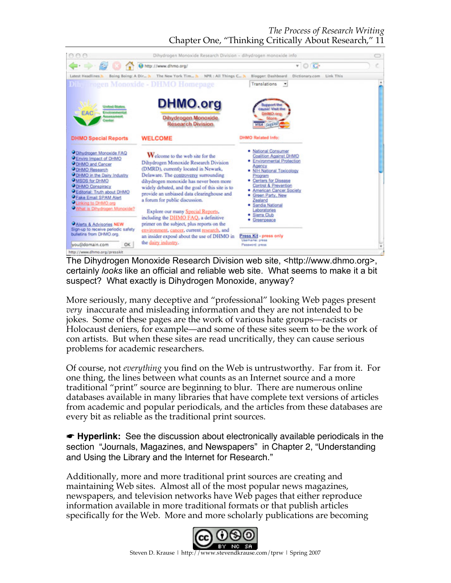

The Dihydrogen Monoxide Research Division web site, <http://www.dhmo.org>, certainly *looks* like an official and reliable web site. What seems to make it a bit suspect? What exactly is Dihydrogen Monoxide, anyway?

More seriously, many deceptive and "professional" looking Web pages present *very* inaccurate and misleading information and they are not intended to be jokes. Some of these pages are the work of various hate groups—racists or Holocaust deniers, for example—and some of these sites seem to be the work of con artists. But when these sites are read uncritically, they can cause serious problems for academic researchers.

Of course, not *everything* you find on the Web is untrustworthy. Far from it. For one thing, the lines between what counts as an Internet source and a more traditional "print" source are beginning to blur. There are numerous online databases available in many libraries that have complete text versions of articles from academic and popular periodicals, and the articles from these databases are every bit as reliable as the traditional print sources.

☛ **Hyperlink:** See the discussion about electronically available periodicals in the section "Journals, Magazines, and Newspapers" in Chapter 2, "Understanding and Using the Library and the Internet for Research."

Additionally, more and more traditional print sources are creating and maintaining Web sites. Almost all of the most popular news magazines, newspapers, and television networks have Web pages that either reproduce information available in more traditional formats or that publish articles specifically for the Web. More and more scholarly publications are becoming

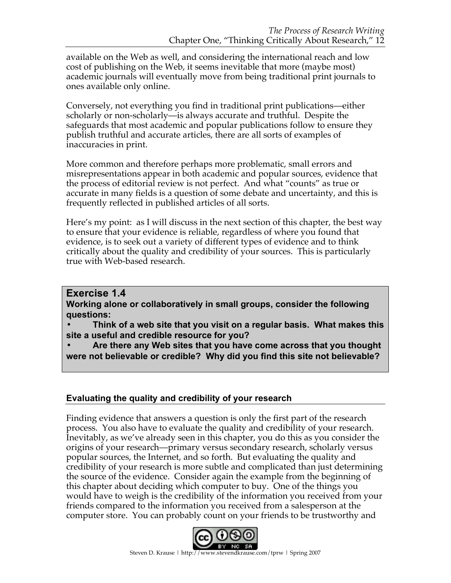available on the Web as well, and considering the international reach and low cost of publishing on the Web, it seems inevitable that more (maybe most) academic journals will eventually move from being traditional print journals to ones available only online.

Conversely, not everything you find in traditional print publications—either scholarly or non-scholarly—is always accurate and truthful. Despite the safeguards that most academic and popular publications follow to ensure they publish truthful and accurate articles, there are all sorts of examples of inaccuracies in print.

More common and therefore perhaps more problematic, small errors and misrepresentations appear in both academic and popular sources, evidence that the process of editorial review is not perfect. And what "counts" as true or accurate in many fields is a question of some debate and uncertainty, and this is frequently reflected in published articles of all sorts.

Here's my point: as I will discuss in the next section of this chapter, the best way to ensure that your evidence is reliable, regardless of where you found that evidence, is to seek out a variety of different types of evidence and to think critically about the quality and credibility of your sources. This is particularly true with Web-based research.

## **Exercise 1.4**

**Working alone or collaboratively in small groups, consider the following questions:**

**• Think of a web site that you visit on a regular basis. What makes this site a useful and credible resource for you?**

**• Are there any Web sites that you have come across that you thought were not believable or credible? Why did you find this site not believable?**

## **Evaluating the quality and credibility of your research**

Finding evidence that answers a question is only the first part of the research process. You also have to evaluate the quality and credibility of your research. Inevitably, as we've already seen in this chapter, you do this as you consider the origins of your research—primary versus secondary research, scholarly versus popular sources, the Internet, and so forth. But evaluating the quality and credibility of your research is more subtle and complicated than just determining the source of the evidence. Consider again the example from the beginning of this chapter about deciding which computer to buy. One of the things you would have to weigh is the credibility of the information you received from your friends compared to the information you received from a salesperson at the computer store. You can probably count on your friends to be trustworthy and

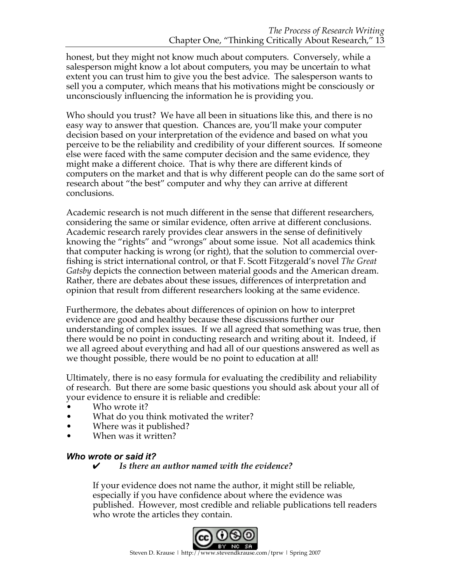honest, but they might not know much about computers. Conversely, while a salesperson might know a lot about computers, you may be uncertain to what extent you can trust him to give you the best advice. The salesperson wants to sell you a computer, which means that his motivations might be consciously or unconsciously influencing the information he is providing you.

Who should you trust? We have all been in situations like this, and there is no easy way to answer that question. Chances are, you'll make your computer decision based on your interpretation of the evidence and based on what you perceive to be the reliability and credibility of your different sources. If someone else were faced with the same computer decision and the same evidence, they might make a different choice. That is why there are different kinds of computers on the market and that is why different people can do the same sort of research about "the best" computer and why they can arrive at different conclusions.

Academic research is not much different in the sense that different researchers, considering the same or similar evidence, often arrive at different conclusions. Academic research rarely provides clear answers in the sense of definitively knowing the "rights" and "wrongs" about some issue. Not all academics think that computer hacking is wrong (or right), that the solution to commercial overfishing is strict international control, or that F. Scott Fitzgerald's novel *The Great Gatsby* depicts the connection between material goods and the American dream. Rather, there are debates about these issues, differences of interpretation and opinion that result from different researchers looking at the same evidence.

Furthermore, the debates about differences of opinion on how to interpret evidence are good and healthy because these discussions further our understanding of complex issues. If we all agreed that something was true, then there would be no point in conducting research and writing about it. Indeed, if we all agreed about everything and had all of our questions answered as well as we thought possible, there would be no point to education at all!

Ultimately, there is no easy formula for evaluating the credibility and reliability of research. But there are some basic questions you should ask about your all of your evidence to ensure it is reliable and credible:

- Who wrote it?
- What do you think motivated the writer?
- Where was it published?
- When was it written?

#### *Who wrote or said it?*

#### ✔ *Is there an author named with the evidence?*

If your evidence does not name the author, it might still be reliable, especially if you have confidence about where the evidence was published. However, most credible and reliable publications tell readers who wrote the articles they contain.

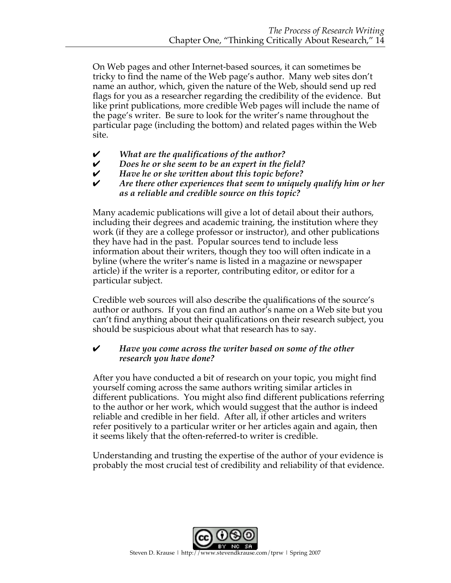On Web pages and other Internet-based sources, it can sometimes be tricky to find the name of the Web page's author. Many web sites don't name an author, which, given the nature of the Web, should send up red flags for you as a researcher regarding the credibility of the evidence. But like print publications, more credible Web pages will include the name of the page's writer. Be sure to look for the writer's name throughout the particular page (including the bottom) and related pages within the Web site.

- ✔ *What are the qualifications of the author?*
- ✔ *Does he or she seem to be an expert in the field?*
- ✔ *Have he or she written about this topic before?*
- ✔ *Are there other experiences that seem to uniquely qualify him or her as a reliable and credible source on this topic?*

Many academic publications will give a lot of detail about their authors, including their degrees and academic training, the institution where they work (if they are a college professor or instructor), and other publications they have had in the past. Popular sources tend to include less information about their writers, though they too will often indicate in a byline (where the writer's name is listed in a magazine or newspaper article) if the writer is a reporter, contributing editor, or editor for a particular subject.

Credible web sources will also describe the qualifications of the source's author or authors. If you can find an author's name on a Web site but you can't find anything about their qualifications on their research subject, you should be suspicious about what that research has to say.

#### ✔ *Have you come across the writer based on some of the other research you have done?*

After you have conducted a bit of research on your topic, you might find yourself coming across the same authors writing similar articles in different publications. You might also find different publications referring to the author or her work, which would suggest that the author is indeed reliable and credible in her field. After all, if other articles and writers refer positively to a particular writer or her articles again and again, then it seems likely that the often-referred-to writer is credible.

Understanding and trusting the expertise of the author of your evidence is probably the most crucial test of credibility and reliability of that evidence.

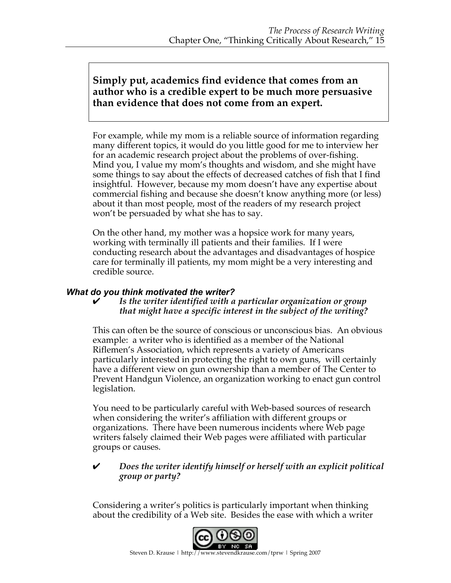# **Simply put, academics find evidence that comes from an author who is a credible expert to be much more persuasive than evidence that does not come from an expert.**

For example, while my mom is a reliable source of information regarding many different topics, it would do you little good for me to interview her for an academic research project about the problems of over-fishing. Mind you, I value my mom's thoughts and wisdom, and she might have some things to say about the effects of decreased catches of fish that I find insightful. However, because my mom doesn't have any expertise about commercial fishing and because she doesn't know anything more (or less) about it than most people, most of the readers of my research project won't be persuaded by what she has to say.

On the other hand, my mother was a hopsice work for many years, working with terminally ill patients and their families. If I were conducting research about the advantages and disadvantages of hospice care for terminally ill patients, my mom might be a very interesting and credible source.

#### *What do you think motivated the writer?*

#### ✔ *Is the writer identified with a particular organization or group that might have a specific interest in the subject of the writing?*

This can often be the source of conscious or unconscious bias. An obvious example: a writer who is identified as a member of the National Riflemen's Association, which represents a variety of Americans particularly interested in protecting the right to own guns, will certainly have a different view on gun ownership than a member of The Center to Prevent Handgun Violence, an organization working to enact gun control legislation.

You need to be particularly careful with Web-based sources of research when considering the writer's affiliation with different groups or organizations. There have been numerous incidents where Web page writers falsely claimed their Web pages were affiliated with particular groups or causes.

#### ✔ *Does the writer identify himself or herself with an explicit political group or party?*

Considering a writer's politics is particularly important when thinking about the credibility of a Web site. Besides the ease with which a writer

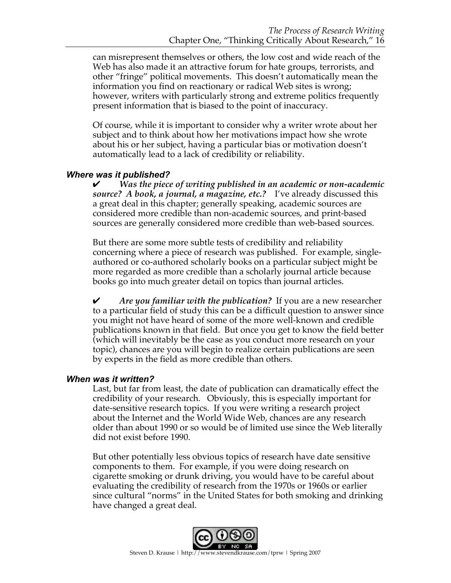can misrepresent themselves or others, the low cost and wide reach of the Web has also made it an attractive forum for hate groups, terrorists, and other "fringe" political movements. This doesn't automatically mean the information you find on reactionary or radical Web sites is wrong; however, writers with particularly strong and extreme politics frequently present information that is biased to the point of inaccuracy.

Of course, while it is important to consider why a writer wrote about her subject and to think about how her motivations impact how she wrote about his or her subject, having a particular bias or motivation doesn't automatically lead to a lack of credibility or reliability.

#### *Where was it published?*

✔ *Was the piece of writing published in an academic or non-academic source? A book, a journal, a magazine, etc.?* I've already discussed this a great deal in this chapter; generally speaking, academic sources are considered more credible than non-academic sources, and print-based sources are generally considered more credible than web-based sources.

But there are some more subtle tests of credibility and reliability concerning where a piece of research was published. For example, singleauthored or co-authored scholarly books on a particular subject might be more regarded as more credible than a scholarly journal article because books go into much greater detail on topics than journal articles.

✔ *Are you familiar with the publication?* If you are a new researcher to a particular field of study this can be a difficult question to answer since you might not have heard of some of the more well-known and credible publications known in that field. But once you get to know the field better (which will inevitably be the case as you conduct more research on your topic), chances are you will begin to realize certain publications are seen by experts in the field as more credible than others.

#### *When was it written?*

Last, but far from least, the date of publication can dramatically effect the credibility of your research. Obviously, this is especially important for date-sensitive research topics. If you were writing a research project about the Internet and the World Wide Web, chances are any research older than about 1990 or so would be of limited use since the Web literally did not exist before 1990.

But other potentially less obvious topics of research have date sensitive components to them. For example, if you were doing research on cigarette smoking or drunk driving, you would have to be careful about evaluating the credibility of research from the 1970s or 1960s or earlier since cultural "norms" in the United States for both smoking and drinking have changed a great deal.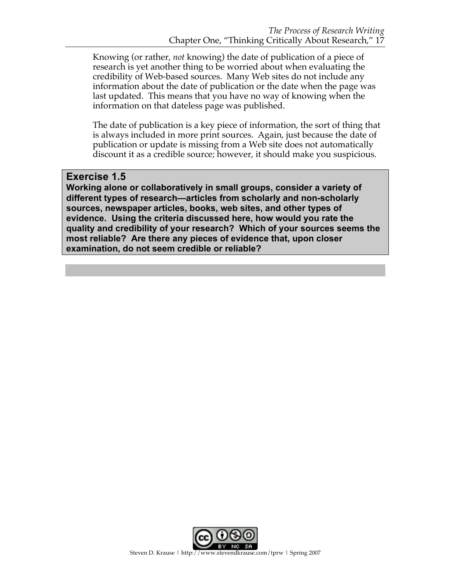Knowing (or rather, *not* knowing) the date of publication of a piece of research is yet another thing to be worried about when evaluating the credibility of Web-based sources. Many Web sites do not include any information about the date of publication or the date when the page was last updated. This means that you have no way of knowing when the information on that dateless page was published.

The date of publication is a key piece of information, the sort of thing that is always included in more print sources. Again, just because the date of publication or update is missing from a Web site does not automatically discount it as a credible source; however, it should make you suspicious.

### **Exercise 1.5**

**Working alone or collaboratively in small groups, consider a variety of different types of research—articles from scholarly and non-scholarly sources, newspaper articles, books, web sites, and other types of evidence. Using the criteria discussed here, how would you rate the quality and credibility of your research? Which of your sources seems the most reliable? Are there any pieces of evidence that, upon closer examination, do not seem credible or reliable?**